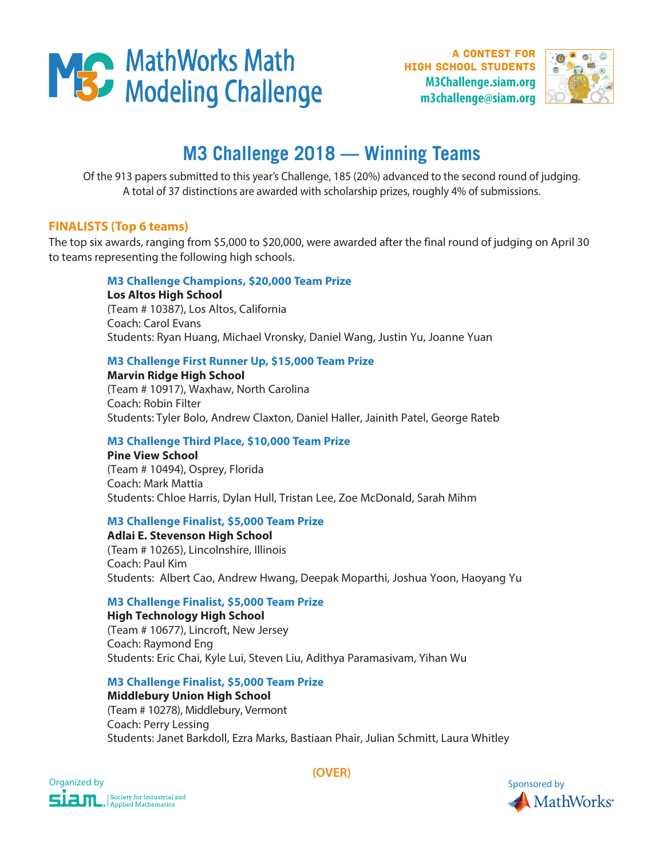

**A CONTEST FOR** high school students **M3Challenge.siam.org m3challenge@siam.org**



# **M3 Challenge 2018 — Winning Teams**

Of the 913 papers submitted to this year's Challenge, 185 (20%) advanced to the second round of judging. A total of 37 distinctions are awarded with scholarship prizes, roughly 4% of submissions.

## **FINALISTS (Top 6 teams)**

The top six awards, ranging from \$5,000 to \$20,000, were awarded after the final round of judging on April 30 to teams representing the following high schools.

## **M3 Challenge Champions, \$20,000 Team Prize**

**Los Altos High School**  (Team # 10387), Los Altos, California Coach: Carol Evans Students: Ryan Huang, Michael Vronsky, Daniel Wang, Justin Yu, Joanne Yuan

## **M3 Challenge First Runner Up, \$15,000 Team Prize**

**Marvin Ridge High School** 

(Team # 10917), Waxhaw, North Carolina Coach: Robin Filter Students: Tyler Bolo, Andrew Claxton, Daniel Haller, Jainith Patel, George Rateb

## **M3 Challenge Third Place, \$10,000 Team Prize**

**Pine View School** (Team # 10494), Osprey, Florida Coach: Mark Mattia Students: Chloe Harris, Dylan Hull, Tristan Lee, Zoe McDonald, Sarah Mihm

## **M3 Challenge Finalist, \$5,000 Team Prize**

**Adlai E. Stevenson High School**  (Team # 10265), Lincolnshire, Illinois Coach: Paul Kim Students: Albert Cao, Andrew Hwang, Deepak Moparthi, Joshua Yoon, Haoyang Yu

# **M3 Challenge Finalist, \$5,000 Team Prize**

**High Technology High School**  (Team # 10677), Lincroft, New Jersey Coach: Raymond Eng Students: Eric Chai, Kyle Lui, Steven Liu, Adithya Paramasivam, Yihan Wu

# **M3 Challenge Finalist, \$5,000 Team Prize**

**Middlebury Union High School**  (Team # 10278), Middlebury, Vermont Coach: Perry Lessing Students: Janet Barkdoll, Ezra Marks, Bastiaan Phair, Julian Schmitt, Laura Whitley



**(OVER)**